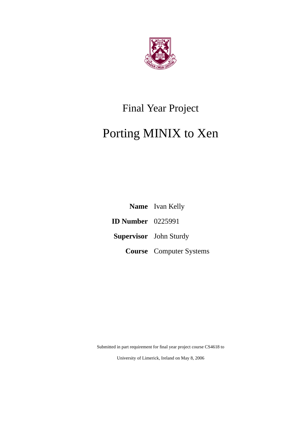

# Final Year Project

# Porting MINIX to Xen

**Name** Ivan Kelly **ID Number** 0225991 **Supervisor** John Sturdy **Course** Computer Systems

Submitted in part requirement for final year project course CS4618 to

University of Limerick, Ireland on May 8, 2006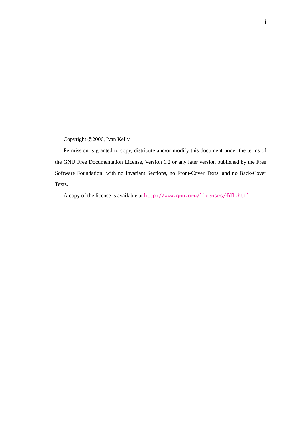Copyright ©2006, Ivan Kelly.

Permission is granted to copy, distribute and/or modify this document under the terms of the GNU Free Documentation License, Version 1.2 or any later version published by the Free Software Foundation; with no Invariant Sections, no Front-Cover Texts, and no Back-Cover Texts.

A copy of the license is available at <http://www.gnu.org/licenses/fdl.html>.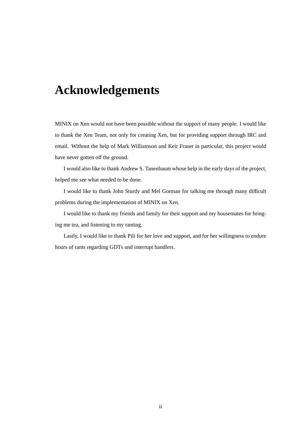# **Acknowledgements**

MINIX on Xen would not have been possible without the support of many people. I would like to thank the Xen Team, not only for creating Xen, but for providing support through IRC and email. Without the help of Mark Williamson and Keir Fraser in particular, this project would have never gotten off the ground.

I would also like to thank Andrew S. Tanenbaum whose help in the early days of the project, helped me see what needed to be done.

I would like to thank John Sturdy and Mel Gorman for talking me through many difficult problems during the implementation of MINIX on Xen.

I would like to thank my friends and family for their support and my housemates for bringing me tea, and listening to my ranting.

Lastly, I would like to thank Pili for her love and support, and for her willingness to endure hours of rants regarding GDTs and interrupt handlers.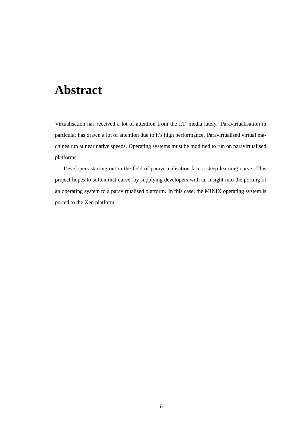# **Abstract**

Virtualisation has received a lot of attention from the I.T. media lately. Paravirtualisation in particular has drawn a lot of attention due to it's high performance. Paravirtualised virtual machines run at near native speeds. Operating systems must be modified to run on paravirtualised platforms.

Developers starting out in the field of paravirtualisation face a steep learning curve. This project hopes to soften that curve, by supplying developers with an insight into the porting of an operating system to a paravirtualised platform. In this case, the MINIX operating system is ported to the Xen platform.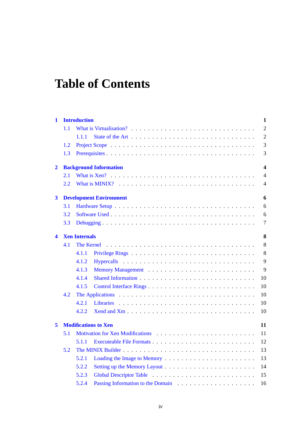# **Table of Contents**

| 1            |                                   | <b>Introduction</b>                               |                                                                                                 | $\mathbf{1}$   |  |  |  |  |  |  |
|--------------|-----------------------------------|---------------------------------------------------|-------------------------------------------------------------------------------------------------|----------------|--|--|--|--|--|--|
|              | 1.1                               |                                                   |                                                                                                 | $\overline{2}$ |  |  |  |  |  |  |
|              |                                   | 1.1.1                                             |                                                                                                 | $\mathfrak{2}$ |  |  |  |  |  |  |
|              | 1.2                               |                                                   |                                                                                                 | 3              |  |  |  |  |  |  |
|              | 1.3                               |                                                   |                                                                                                 | 3              |  |  |  |  |  |  |
| $\mathbf{2}$ |                                   | <b>Background Information</b><br>$\boldsymbol{4}$ |                                                                                                 |                |  |  |  |  |  |  |
|              | 2.1                               |                                                   |                                                                                                 | $\overline{4}$ |  |  |  |  |  |  |
|              | 2.2                               |                                                   |                                                                                                 | $\overline{4}$ |  |  |  |  |  |  |
| $\mathbf{3}$ |                                   |                                                   | <b>Development Environment</b>                                                                  | 6              |  |  |  |  |  |  |
|              | 3.1                               |                                                   |                                                                                                 | 6              |  |  |  |  |  |  |
|              | 3.2                               |                                                   |                                                                                                 | 6              |  |  |  |  |  |  |
|              | 3.3                               |                                                   |                                                                                                 | $\tau$         |  |  |  |  |  |  |
| 4            |                                   | 8<br><b>Xen Internals</b>                         |                                                                                                 |                |  |  |  |  |  |  |
|              | 4.1                               |                                                   |                                                                                                 | 8              |  |  |  |  |  |  |
|              |                                   | 4.1.1                                             |                                                                                                 | 8              |  |  |  |  |  |  |
|              |                                   | 4.1.2                                             |                                                                                                 | 9              |  |  |  |  |  |  |
|              |                                   | 4.1.3                                             |                                                                                                 | 9              |  |  |  |  |  |  |
|              |                                   | 4.1.4                                             |                                                                                                 | 10             |  |  |  |  |  |  |
|              |                                   | 4.1.5                                             |                                                                                                 | 10             |  |  |  |  |  |  |
|              | 4.2                               |                                                   | The Applications $\ldots \ldots \ldots \ldots \ldots \ldots \ldots \ldots \ldots \ldots \ldots$ | 10             |  |  |  |  |  |  |
|              |                                   | 4.2.1                                             |                                                                                                 | 10             |  |  |  |  |  |  |
|              |                                   | 4.2.2                                             |                                                                                                 | 10             |  |  |  |  |  |  |
| 5            | <b>Modifications to Xen</b><br>11 |                                                   |                                                                                                 |                |  |  |  |  |  |  |
|              | 5.1                               |                                                   |                                                                                                 | 11             |  |  |  |  |  |  |
|              |                                   | 5.1.1                                             |                                                                                                 | 12             |  |  |  |  |  |  |
|              | 5.2                               |                                                   |                                                                                                 | 13             |  |  |  |  |  |  |
|              |                                   | 5.2.1                                             |                                                                                                 | 13             |  |  |  |  |  |  |
|              |                                   | 5.2.2                                             |                                                                                                 | 14             |  |  |  |  |  |  |
|              |                                   | 5.2.3                                             |                                                                                                 | 15             |  |  |  |  |  |  |
|              |                                   | 5.2.4                                             |                                                                                                 | 16             |  |  |  |  |  |  |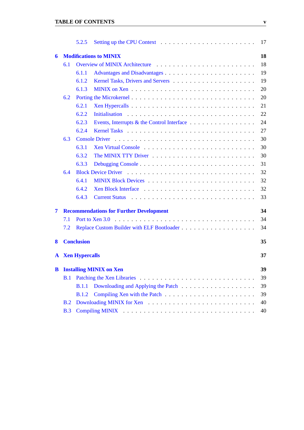|   |                                                      | 5.2.5                 |                                                                                                                                                                                                                                | 17 |  |  |  |  |  |
|---|------------------------------------------------------|-----------------------|--------------------------------------------------------------------------------------------------------------------------------------------------------------------------------------------------------------------------------|----|--|--|--|--|--|
| 6 |                                                      |                       | <b>Modifications to MINIX</b>                                                                                                                                                                                                  | 18 |  |  |  |  |  |
|   | 6.1                                                  |                       |                                                                                                                                                                                                                                | 18 |  |  |  |  |  |
|   |                                                      | 6.1.1                 |                                                                                                                                                                                                                                | 19 |  |  |  |  |  |
|   |                                                      | 6.1.2                 |                                                                                                                                                                                                                                | 19 |  |  |  |  |  |
|   |                                                      | 6.1.3                 |                                                                                                                                                                                                                                | 20 |  |  |  |  |  |
|   | 6.2                                                  |                       |                                                                                                                                                                                                                                | 20 |  |  |  |  |  |
|   |                                                      | 6.2.1                 |                                                                                                                                                                                                                                | 21 |  |  |  |  |  |
|   |                                                      | 6.2.2                 |                                                                                                                                                                                                                                | 22 |  |  |  |  |  |
|   |                                                      | 6.2.3                 |                                                                                                                                                                                                                                | 24 |  |  |  |  |  |
|   |                                                      | 6.2.4                 |                                                                                                                                                                                                                                | 27 |  |  |  |  |  |
|   | 6.3                                                  |                       |                                                                                                                                                                                                                                | 30 |  |  |  |  |  |
|   |                                                      | 6.3.1                 | Xen Virtual Console                                                                                                                                                                                                            | 30 |  |  |  |  |  |
|   |                                                      | 6.3.2                 |                                                                                                                                                                                                                                | 30 |  |  |  |  |  |
|   |                                                      | 6.3.3                 |                                                                                                                                                                                                                                | 31 |  |  |  |  |  |
|   | 6.4                                                  |                       |                                                                                                                                                                                                                                | 32 |  |  |  |  |  |
|   |                                                      | 6.4.1                 |                                                                                                                                                                                                                                | 32 |  |  |  |  |  |
|   |                                                      | 6.4.2                 |                                                                                                                                                                                                                                | 32 |  |  |  |  |  |
|   |                                                      | 6.4.3                 |                                                                                                                                                                                                                                | 33 |  |  |  |  |  |
| 7 | <b>Recommendations for Further Development</b><br>34 |                       |                                                                                                                                                                                                                                |    |  |  |  |  |  |
|   | 7.1                                                  |                       |                                                                                                                                                                                                                                | 34 |  |  |  |  |  |
|   | 7.2                                                  |                       |                                                                                                                                                                                                                                | 34 |  |  |  |  |  |
| 8 |                                                      | <b>Conclusion</b>     |                                                                                                                                                                                                                                | 35 |  |  |  |  |  |
| A |                                                      | <b>Xen Hypercalls</b> |                                                                                                                                                                                                                                | 37 |  |  |  |  |  |
| B | <b>Installing MINIX on Xen</b><br>39                 |                       |                                                                                                                                                                                                                                |    |  |  |  |  |  |
|   | B.1                                                  |                       |                                                                                                                                                                                                                                | 39 |  |  |  |  |  |
|   |                                                      | B.1.1                 |                                                                                                                                                                                                                                | 39 |  |  |  |  |  |
|   |                                                      | B.1.2                 |                                                                                                                                                                                                                                | 39 |  |  |  |  |  |
|   | B.2                                                  |                       |                                                                                                                                                                                                                                | 40 |  |  |  |  |  |
|   | B.3                                                  |                       | Compiling MINIX in the contract of the contract of the MINIX in the contract of the contract of the contract of the contract of the contract of the contract of the contract of the contract of the contract of the contract o | 40 |  |  |  |  |  |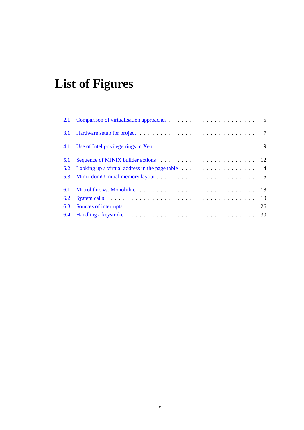# **List of Figures**

| 3.1 |  |
|-----|--|
|     |  |
| 5.1 |  |
| 5.2 |  |
|     |  |
| 6.1 |  |
| 6.2 |  |
| 6.3 |  |
|     |  |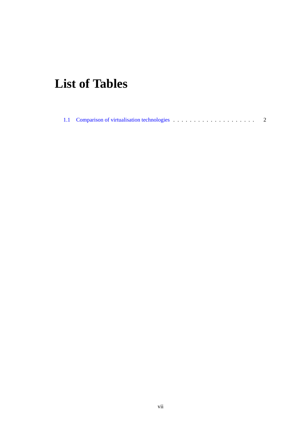# **List of Tables**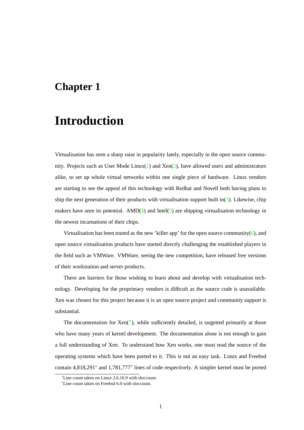### <span id="page-8-0"></span>**Chapter 1**

# **Introduction**

Virtualisation has seen a sharp raise in popularity lately, especially in the open source commu-nity. Projects such as User Mode Linux[\(1\)](#page-50-0) and  $\text{Xen}(2)$  $\text{Xen}(2)$ , have allowed users and administrators alike, to set up whole virtual networks within one single piece of hardware. Linux vendors are starting to see the appeal of this technology with Redhat and Novell both having plans to ship the next generation of their products with virtualisation support built in( $3$ ). Likewise, chip makers have seen its potential.  $\text{AMD}(4)$  $\text{AMD}(4)$  and  $\text{Intel}(5)$  $\text{Intel}(5)$  are shipping virtualisation technology in the newest incarnations of their chips.

Virtualisation has been touted as the new 'killer app' for the open source community[\(6\)](#page-50-5), and open source virtualisation products have started directly challenging the established players in the field such as VMWare. VMWare, seeing the new competition, have released free versions of their workstation and server products.

There are barriers for those wishing to learn about and develop with virtualisation technology. Developing for the proprietary vendors is difficult as the source code is unavailable. Xen was chosen for this project because it is an open source project and community support is substantial.

The documentation for  $\text{Xen}(7)$  $\text{Xen}(7)$ , while sufficiently detailed, is targetted primarily at those who have many years of kernel development. The documentation alone is not enough to gain a full understanding of Xen. To understand how Xen works, one must read the source of the operating systems which have been ported to it. This is not an easy task. Linux and Freebsd contain 4,818,291<sup>∗</sup> and 1,781,777† lines of code respectively. A simpler kernel must be ported

<sup>∗</sup>Line count taken on Linux 2.6.16.9 with sloccount.

<sup>†</sup>Line count taken on Freebsd 6.0 with sloccount.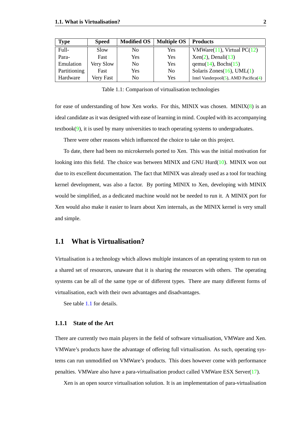| Type         | <b>Speed</b> | <b>Modified OS</b> | <b>Multiple OS</b> | <b>Products</b>                             |
|--------------|--------------|--------------------|--------------------|---------------------------------------------|
| Full-        | Slow         | N <sub>0</sub>     | Yes                | VMWare(11), Virtual $PC(12)$                |
| Para-        | Fast         | Yes                | Yes                | $Xen(2)$ , Denali $(13)$                    |
| Emulation    | Very Slow    | N <sub>0</sub>     | Yes                | $qemu(14)$ , Bochs(15)                      |
| Partitioning | Fast         | Yes                | No.                | Solaris Zones $(16)$ , UML $(1)$            |
| Hardware     | Very Fast    | N <sub>0</sub>     | Yes                | Intel Vanderpool $(5)$ , AMD Pacifica $(4)$ |

<span id="page-9-2"></span>Table 1.1: Comparison of virtualisation technologies

for ease of understanding of how Xen works. For this, MINIX was chosen. MINIX $(8)$  is an ideal candidate as it was designed with ease of learning in mind. Coupled with its accompanying textbook $(9)$ , it is used by many universities to teach operating systems to undergraduates.

There were other reasons which influenced the choice to take on this project.

To date, there had been no microkernels ported to Xen. This was the initial motivation for looking into this field. The choice was between MINIX and GNU Hurd[\(10\)](#page-50-10). MINIX won out due to its excellent documentation. The fact that MINIX was already used as a tool for teaching kernel development, was also a factor. By porting MINIX to Xen, developing with MINIX would be simplified, as a dedicated machine would not be needed to run it. A MINIX port for Xen would also make it easier to learn about Xen internals, as the MINIX kernel is very small and simple.

### <span id="page-9-0"></span>**1.1 What is Virtualisation?**

Virtualisation is a technology which allows multiple instances of an operating system to run on a shared set of resources, unaware that it is sharing the resources with others. The operating systems can be all of the same type or of different types. There are many different forms of virtualisation, each with their own advantages and disadvantages.

See table [1.1](#page-9-0) for details.

#### <span id="page-9-1"></span>**1.1.1 State of the Art**

There are currently two main players in the field of software virtualisation, VMWare and Xen. VMWare's products have the advantage of offering full virtualisation. As such, operating systems can run unmodified on VMWare's products. This does however come with performance penalties. VMWare also have a para-virtualisation product called VMWare ESX Server[\(17\)](#page-51-5).

Xen is an open source virtualisation solution. It is an implementation of para-virtualisation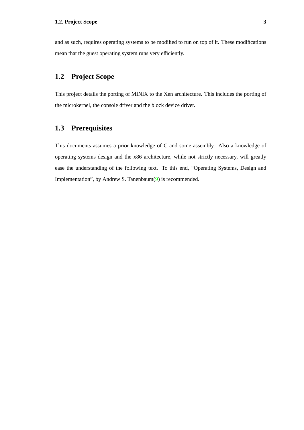and as such, requires operating systems to be modified to run on top of it. These modifications mean that the guest operating system runs very efficiently.

### <span id="page-10-0"></span>**1.2 Project Scope**

This project details the porting of MINIX to the Xen architecture. This includes the porting of the microkernel, the console driver and the block device driver.

### <span id="page-10-1"></span>**1.3 Prerequisites**

This documents assumes a prior knowledge of C and some assembly. Also a knowledge of operating systems design and the x86 architecture, while not strictly necessary, will greatly ease the understanding of the following text. To this end, "Operating Systems, Design and Implementation", by Andrew S. Tanenbaum[\(9\)](#page-50-9) is recommended.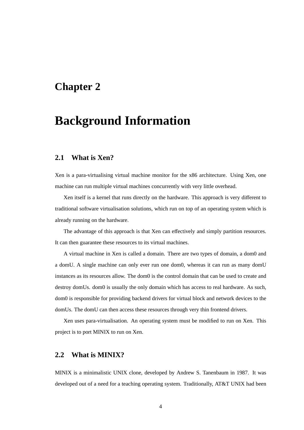### <span id="page-11-0"></span>**Chapter 2**

# **Background Information**

### <span id="page-11-1"></span>**2.1 What is Xen?**

Xen is a para-virtualising virtual machine monitor for the x86 architecture. Using Xen, one machine can run multiple virtual machines concurrently with very little overhead.

Xen itself is a kernel that runs directly on the hardware. This approach is very different to traditional software virtualisation solutions, which run on top of an operating system which is already running on the hardware.

The advantage of this approach is that Xen can effectively and simply partition resources. It can then guarantee these resources to its virtual machines.

A virtual machine in Xen is called a domain. There are two types of domain, a dom0 and a domU. A single machine can only ever run one dom0, whereas it can run as many domU instances as its resources allow. The dom0 is the control domain that can be used to create and destroy domUs. dom0 is usually the only domain which has access to real hardware. As such, dom0 is responsible for providing backend drivers for virtual block and network devices to the domUs. The domU can then access these resources through very thin frontend drivers.

Xen uses para-virtualisation. An operating system must be modified to run on Xen. This project is to port MINIX to run on Xen.

### <span id="page-11-2"></span>**2.2 What is MINIX?**

MINIX is a minimalistic UNIX clone, developed by Andrew S. Tanenbaum in 1987. It was developed out of a need for a teaching operating system. Traditionally, AT&T UNIX had been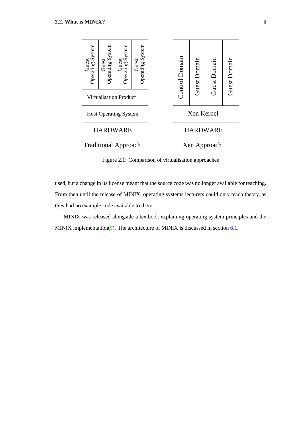

<span id="page-12-0"></span>Figure 2.1: Comparison of virtualisation approaches

used, but a change in its license meant that the source code was no longer available for teaching. From then until the release of MINIX, operating systems lecturers could only teach theory, as they had no example code available to them.

MINIX was released alongside a textbook explaining operating system principles and the MINIX implementation[\(9\)](#page-50-9). The architecture of MINIX is discussed in section  $6.1$ .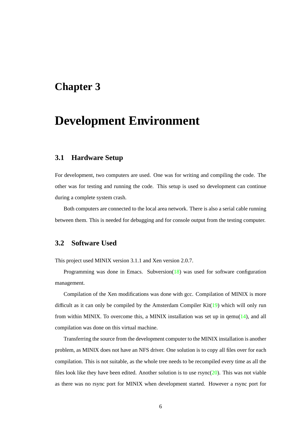### <span id="page-13-0"></span>**Chapter 3**

# **Development Environment**

### <span id="page-13-1"></span>**3.1 Hardware Setup**

For development, two computers are used. One was for writing and compiling the code. The other was for testing and running the code. This setup is used so development can continue during a complete system crash.

Both computers are connected to the local area network. There is also a serial cable running between them. This is needed for debugging and for console output from the testing computer.

### <span id="page-13-2"></span>**3.2 Software Used**

This project used MINIX version 3.1.1 and Xen version 2.0.7.

Programming was done in Emacs. Subversion $(18)$  was used for software configuration management.

Compilation of the Xen modifications was done with gcc. Compilation of MINIX is more difficult as it can only be compiled by the Amsterdam Compiler  $Kit(19)$  $Kit(19)$  which will only run from within MINIX. To overcome this, a MINIX installation was set up in  $qem(14)$  $qem(14)$ , and all compilation was done on this virtual machine.

Transferring the source from the development computer to the MINIX installation is another problem, as MINIX does not have an NFS driver. One solution is to copy all files over for each compilation. This is not suitable, as the whole tree needs to be recompiled every time as all the files look like they have been edited. Another solution is to use  $rsync(20)$  $rsync(20)$ . This was not viable as there was no rsync port for MINIX when development started. However a rsync port for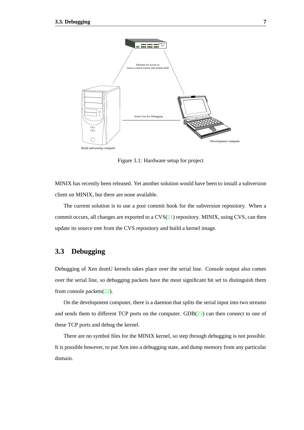![](_page_14_Figure_1.jpeg)

<span id="page-14-1"></span>Figure 3.1: Hardware setup for project

MINIX has recently been released. Yet another solution would have been to install a subversion client on MINIX, but there are none available.

The current solution is to use a post commit hook for the subversion repository. When a commit occurs, all changes are exported to a CVS[\(21\)](#page-51-9) repository. MINIX, using CVS, can then update its source tree from the CVS repository and build a kernel image.

### <span id="page-14-0"></span>**3.3 Debugging**

Debugging of Xen domU kernels takes place over the serial line. Console output also comes over the serial line, so debugging packets have the most significant bit set to distinguish them from console packets[\(22\)](#page-51-10).

On the development computer, there is a daemon that splits the serial input into two streams and sends them to different TCP ports on the computer.  $GDB(23)$  $GDB(23)$  can then connect to one of these TCP ports and debug the kernel.

There are no symbol files for the MINIX kernel, so step through debugging is not possible. It is possible however, to put Xen into a debugging state, and dump memory from any particular domain.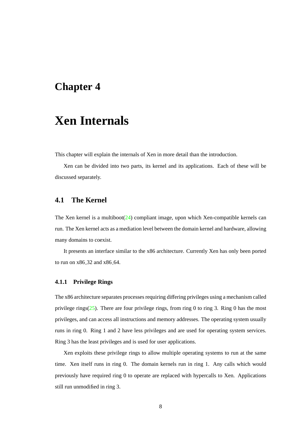### <span id="page-15-0"></span>**Chapter 4**

# **Xen Internals**

This chapter will explain the internals of Xen in more detail than the introduction.

Xen can be divided into two parts, its kernel and its applications. Each of these will be discussed separately.

### <span id="page-15-1"></span>**4.1 The Kernel**

The Xen kernel is a multiboot $(24)$  compliant image, upon which Xen-compatible kernels can run. The Xen kernel acts as a mediation level between the domain kernel and hardware, allowing many domains to coexist.

It presents an interface similar to the x86 architecture. Currently Xen has only been ported to run on x86 32 and x86 64.

#### <span id="page-15-2"></span>**4.1.1 Privilege Rings**

The x86 architecture separates processes requiring differing privileges using a mechanism called privilege rings $(25)$ . There are four privilege rings, from ring 0 to ring 3. Ring 0 has the most privileges, and can access all instructions and memory addresses. The operating system usually runs in ring 0. Ring 1 and 2 have less privileges and are used for operating system services. Ring 3 has the least privileges and is used for user applications.

Xen exploits these privilege rings to allow multiple operating systems to run at the same time. Xen itself runs in ring 0. The domain kernels run in ring 1. Any calls which would previously have required ring 0 to operate are replaced with hypercalls to Xen. Applications still run unmodified in ring 3.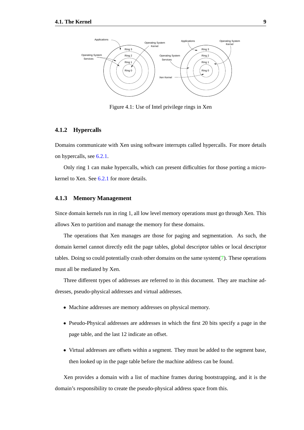![](_page_16_Figure_1.jpeg)

<span id="page-16-2"></span>Figure 4.1: Use of Intel privilege rings in Xen

#### <span id="page-16-0"></span>**4.1.2 Hypercalls**

Domains communicate with Xen using software interrupts called hypercalls. For more details on hypercalls, see [6.2.1.](#page-28-0)

Only ring 1 can make hypercalls, which can present difficulties for those porting a microkernel to Xen. See [6.2.1](#page-28-1) for more details.

#### <span id="page-16-1"></span>**4.1.3 Memory Management**

Since domain kernels run in ring 1, all low level memory operations must go through Xen. This allows Xen to partition and manage the memory for these domains.

The operations that Xen manages are those for paging and segmentation. As such, the domain kernel cannot directly edit the page tables, global descriptor tables or local descriptor tables. Doing so could potentially crash other domains on the same system $(7)$ . These operations must all be mediated by Xen.

Three different types of addresses are referred to in this document. They are machine addresses, pseudo-physical addresses and virtual addresses.

- Machine addresses are memory addresses on physical memory.
- Pseudo-Physical addresses are addresses in which the first 20 bits specify a page in the page table, and the last 12 indicate an offset.
- Virtual addresses are offsets within a segment. They must be added to the segment base, then looked up in the page table before the machine address can be found.

Xen provides a domain with a list of machine frames during bootstrapping, and it is the domain's responsibility to create the pseudo-physical address space from this.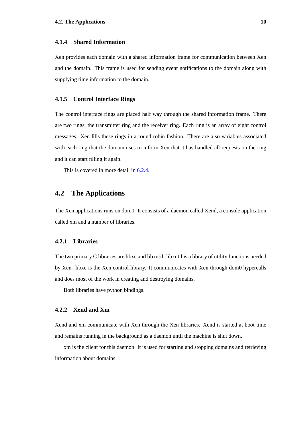#### <span id="page-17-0"></span>**4.1.4 Shared Information**

Xen provides each domain with a shared information frame for communication between Xen and the domain. This frame is used for sending event notifications to the domain along with supplying time information to the domain.

#### <span id="page-17-1"></span>**4.1.5 Control Interface Rings**

The control interface rings are placed half way through the shared information frame. There are two rings, the transmitter ring and the receiver ring. Each ring is an array of eight control messages. Xen fills these rings in a round robin fashion. There are also variables associated with each ring that the domain uses to inform Xen that it has handled all requests on the ring and it can start filling it again.

This is covered in more detail in  $6.2.4$ .

### <span id="page-17-2"></span>**4.2 The Applications**

The Xen applications runs on dom0. It consists of a daemon called Xend, a console application called xm and a number of libraries.

#### <span id="page-17-3"></span>**4.2.1 Libraries**

The two primary C libraries are libxc and libxutil. libxutil is a library of utility functions needed by Xen. libxc is the Xen control library. It communicates with Xen through dom0 hypercalls and does most of the work in creating and destroying domains.

Both libraries have python bindings.

#### <span id="page-17-4"></span>**4.2.2 Xend and Xm**

Xend and xm communicate with Xen through the Xen libraries. Xend is started at boot time and remains running in the background as a daemon until the machine is shut down.

xm is the client for this daemon. It is used for starting and stopping domains and retrieving information about domains.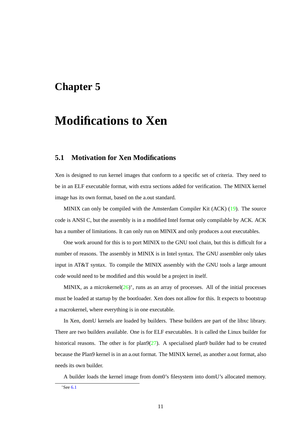## <span id="page-18-0"></span>**Chapter 5**

# **Modifications to Xen**

### <span id="page-18-1"></span>**5.1 Motivation for Xen Modifications**

Xen is designed to run kernel images that conform to a specific set of criteria. They need to be in an ELF executable format, with extra sections added for verification. The MINIX kernel image has its own format, based on the a.out standard.

MINIX can only be compiled with the Amsterdam Compiler Kit (ACK) [\(19\)](#page-51-7). The source code is ANSI C, but the assembly is in a modified Intel format only compilable by ACK. ACK has a number of limitations. It can only run on MINIX and only produces a.out executables.

One work around for this is to port MINIX to the GNU tool chain, but this is difficult for a number of reasons. The assembly in MINIX is in Intel syntax. The GNU assembler only takes input in AT&T syntax. To compile the MINIX assembly with the GNU tools a large amount code would need to be modified and this would be a project in itself.

MINIX, as a microkernel $(26)^*$  $(26)^*$ , runs as an array of processes. All of the initial processes must be loaded at startup by the bootloader. Xen does not allow for this. It expects to bootstrap a macrokernel, where everything is in one executable.

In Xen, domU kernels are loaded by builders. These builders are part of the libxc library. There are two builders available. One is for ELF executables. It is called the Linux builder for historical reasons. The other is for  $plan9(27)$  $plan9(27)$ . A specialised plan9 builder had to be created because the Plan9 kernel is in an a.out format. The MINIX kernel, as another a.out format, also needs its own builder.

A builder loads the kernel image from dom0's filesystem into domU's allocated memory.

<sup>∗</sup>See [6.1](#page-25-1)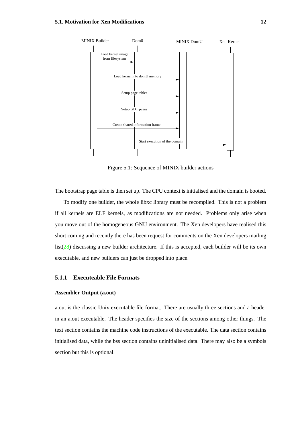![](_page_19_Figure_1.jpeg)

<span id="page-19-1"></span>Figure 5.1: Sequence of MINIX builder actions

The bootstrap page table is then set up. The CPU context is initialised and the domain is booted.

To modify one builder, the whole libxc library must be recompiled. This is not a problem if all kernels are ELF kernels, as modifications are not needed. Problems only arise when you move out of the homogeneous GNU environment. The Xen developers have realised this short coming and recently there has been request for comments on the Xen developers mailing list[\(28\)](#page-51-16) discussing a new builder architecture. If this is accepted, each builder will be its own executable, and new builders can just be dropped into place.

#### <span id="page-19-0"></span>**5.1.1 Executeable File Formats**

#### **Assembler Output (a.out)**

a.out is the classic Unix executable file format. There are usually three sections and a header in an a.out executable. The header specifies the size of the sections among other things. The text section contains the machine code instructions of the executable. The data section contains initialised data, while the bss section contains uninitialised data. There may also be a symbols section but this is optional.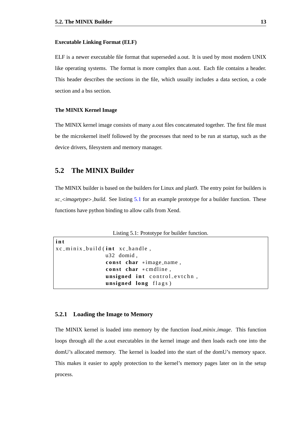#### **Executable Linking Format (ELF)**

ELF is a newer executable file format that superseded a.out. It is used by most modern UNIX like operating systems. The format is more complex than a.out. Each file contains a header. This header describes the sections in the file, which usually includes a data section, a code section and a bss section.

#### **The MINIX Kernel Image**

The MINIX kernel image consists of many a.out files concatenated together. The first file must be the microkernel itself followed by the processes that need to be run at startup, such as the device drivers, filesystem and memory manager.

### <span id="page-20-0"></span>**5.2 The MINIX Builder**

The MINIX builder is based on the builders for Linux and plan9. The entry point for builders is *xc* <*imagetype*> *build*. See listing [5.1](#page-20-2) for an example prototype for a builder function. These functions have python binding to allow calls from Xend.

Listing 5.1: Prototype for builder function.

```
i n t
xc_minix_build(int xc_handle,
                u32 domid ,
                const char *image_name,
                const char * cmdline,
                unsigned int control_evtchn,
                unsigned long flags)
```
#### <span id="page-20-1"></span>**5.2.1 Loading the Image to Memory**

The MINIX kernel is loaded into memory by the function *load minix image*. This function loops through all the a.out executables in the kernel image and then loads each one into the domU's allocated memory. The kernel is loaded into the start of the domU's memory space. This makes it easier to apply protection to the kernel's memory pages later on in the setup process.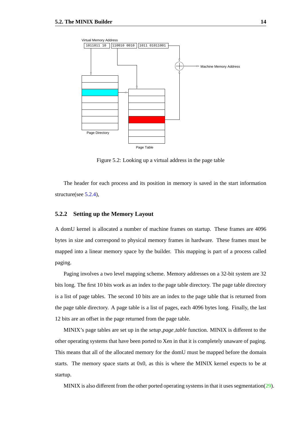![](_page_21_Figure_1.jpeg)

<span id="page-21-1"></span>Figure 5.2: Looking up a virtual address in the page table

The header for each process and its position in memory is saved in the start information structure(see [5.2.4\)](#page-23-0),

#### <span id="page-21-0"></span>**5.2.2 Setting up the Memory Layout**

A domU kernel is allocated a number of machine frames on startup. These frames are 4096 bytes in size and correspond to physical memory frames in hardware. These frames must be mapped into a linear memory space by the builder. This mapping is part of a process called paging.

Paging involves a two level mapping scheme. Memory addresses on a 32-bit system are 32 bits long. The first 10 bits work as an index to the page table directory. The page table directory is a list of page tables. The second 10 bits are an index to the page table that is returned from the page table directory. A page table is a list of pages, each 4096 bytes long. Finally, the last 12 bits are an offset in the page returned from the page table.

MINIX's page tables are set up in the *setup page table* function. MINIX is different to the other operating systems that have been ported to Xen in that it is completely unaware of paging. This means that all of the allocated memory for the domU must be mapped before the domain starts. The memory space starts at 0x0, as this is where the MINIX kernel expects to be at startup.

MINIX is also different from the other ported operating systems in that it uses segmentation( $29$ ).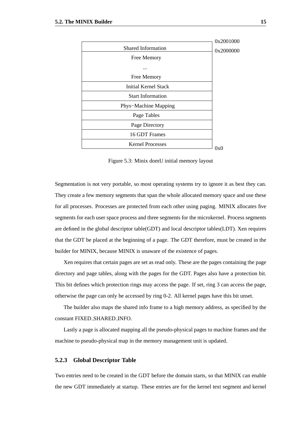|                           | 0x2001000 |
|---------------------------|-----------|
| <b>Shared Information</b> | 0x2000000 |
| Free Memory               |           |
|                           |           |
| Free Memory               |           |
| Initial Kernel Stack      |           |
| <b>Start Information</b>  |           |
| Phys-Machine Mapping      |           |
| Page Tables               |           |
| Page Directory            |           |
| 16 GDT Frames             |           |
| <b>Kernel Processes</b>   | 0x0       |
|                           |           |

<span id="page-22-1"></span>Figure 5.3: Minix domU initial memory layout

Segmentation is not very portable, so most operating systems try to ignore it as best they can. They create a few memory segments that span the whole allocated memory space and use these for all processes. Processes are protected from each other using paging. MINIX allocates five segments for each user space process and three segments for the microkernel. Process segments are defined in the global descriptor table(GDT) and local descriptor tables(LDT). Xen requires that the GDT be placed at the beginning of a page. The GDT therefore, must be created in the builder for MINIX, because MINIX is unaware of the existence of pages.

Xen requires that certain pages are set as read only. These are the pages containing the page directory and page tables, along with the pages for the GDT. Pages also have a protection bit. This bit defines which protection rings may access the page. If set, ring 3 can access the page, otherwise the page can only be accessed by ring 0-2. All kernel pages have this bit unset.

The builder also maps the shared info frame to a high memory address, as specified by the constant FIXED SHARED INFO.

Lastly a page is allocated mapping all the pseudo-physical pages to machine frames and the machine to pseudo-physical map in the memory management unit is updated.

#### <span id="page-22-0"></span>**5.2.3 Global Descriptor Table**

Two entries need to be created in the GDT before the domain starts, so that MINIX can enable the new GDT immediately at startup. These entries are for the kernel text segment and kernel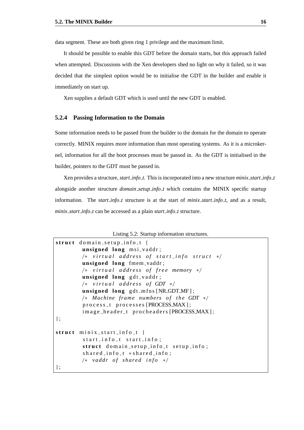data segment. These are both given ring 1 privilege and the maximum limit.

It should be possible to enable this GDT before the domain starts, but this approach failed when attempted. Discussions with the Xen developers shed no light on why it failed, so it was decided that the simplest option would be to initialise the GDT in the builder and enable it immediately on start up.

Xen supplies a default GDT which is used until the new GDT is enabled.

#### <span id="page-23-0"></span>**5.2.4 Passing Information to the Domain**

Some information needs to be passed from the builder to the domain for the domain to operate correctly. MINIX requires more information than most operating systems. As it is a microkernel, information for all the boot processes must be passed in. As the GDT is initialised in the builder, pointers to the GDT must be passed in.

Xen provides a structure, *start info t*. This is incorporated into a new structure *minix start info t* alongside another structure *domain setup info t* which contains the MINIX specific startup information. The *start info t* structure is at the start of *minix start info t*, and as a result, *minix start info t* can be accessed as a plain *start info t* structure.

Listing 5.2: Startup information structures.

```
struct domain_setup_info_t {
         unsigned long msi_vaddr;
         / ∗ v i r t u a l a d d r e s s o f s t a r t i n f o s t r u c t ∗ /
         unsigned long fmem vaddr ;
         / ∗ v i r t u a l a d d r e s s o f f r e e memory ∗ /
         unsigned long gdt_vaddr;
         / ∗ v i r t u a l a d d r e s s o f GDT ∗ /
         unsigned long gdt_mfns [NR_GDT_MF];
         /* Machine frame numbers of the GDT */
         process_t processes [PROCESS_MAX];
         image_header_t procheaders [PROCESS_MAX];
} ;
struct minix_start_info_t {
         start_info_t start_info;
         struct domain_setup_info_t setup_info;
         shared_info_t * shared_info;/ ∗ vaddr o f s h a r e d i n f o ∗ /
} ;
```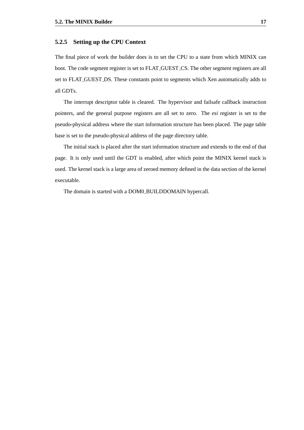#### <span id="page-24-0"></span>**5.2.5 Setting up the CPU Context**

The final piece of work the builder does is to set the CPU to a state from which MINIX can boot. The code segment register is set to FLAT GUEST CS. The other segment registers are all set to FLAT GUEST DS. These constants point to segments which Xen automatically adds to all GDTs.

The interrupt descriptor table is cleared. The hypervisor and failsafe callback instruction pointers, and the general purpose registers are all set to zero. The *esi* register is set to the pseudo-physical address where the start information structure has been placed. The page table base is set to the pseudo-physical address of the page directory table.

The initial stack is placed after the start information structure and extends to the end of that page. It is only used until the GDT is enabled, after which point the MINIX kernel stack is used. The kernel stack is a large area of zeroed memory defined in the data section of the kernel executable.

The domain is started with a DOM0 BUILDDOMAIN hypercall.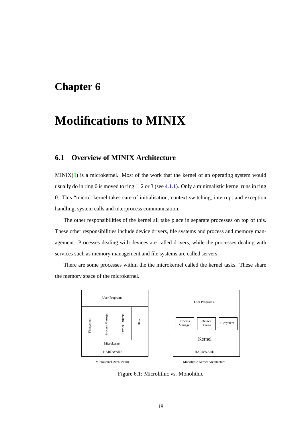# <span id="page-25-0"></span>**Chapter 6**

# **Modifications to MINIX**

### <span id="page-25-1"></span>**6.1 Overview of MINIX Architecture**

 $MINIX(9)$  $MINIX(9)$  is a microkernel. Most of the work that the kernel of an operating system would usually do in ring 0 is moved to ring 1, 2 or 3 (see [4.1.1\)](#page-15-2). Only a minimalistic kernel runs in ring 0. This "micro" kernel takes care of initialisation, context switching, interrupt and exception handling, system calls and interprocess communication.

The other responsibilities of the kernel all take place in separate processes on top of this. These other responsibilities include device drivers, file systems and process and memory management. Processes dealing with devices are called drivers, while the processes dealing with services such as memory management and file systems are called servers.

There are some processes within the the microkernel called the kernel tasks. These share the memory space of the microkernel.

![](_page_25_Figure_6.jpeg)

<span id="page-25-2"></span>Figure 6.1: Microlithic vs. Monolithic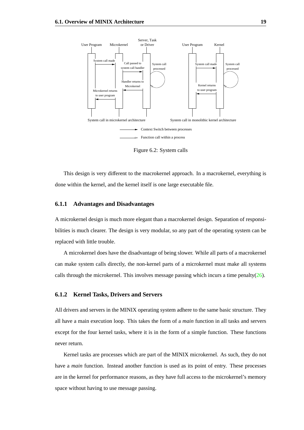![](_page_26_Figure_1.jpeg)

<span id="page-26-2"></span>Figure 6.2: System calls

This design is very different to the macrokernel approach. In a macrokernel, everything is done within the kernel, and the kernel itself is one large executable file.

#### <span id="page-26-0"></span>**6.1.1 Advantages and Disadvantages**

A microkernel design is much more elegant than a macrokernel design. Separation of responsibilities is much clearer. The design is very modular, so any part of the operating system can be replaced with little trouble.

A microkernel does have the disadvantage of being slower. While all parts of a macrokernel can make system calls directly, the non-kernel parts of a microkernel must make all systems calls through the microkernel. This involves message passing which incurs a time penalty( $26$ ).

#### <span id="page-26-1"></span>**6.1.2 Kernel Tasks, Drivers and Servers**

All drivers and servers in the MINIX operating system adhere to the same basic structure. They all have a main execution loop. This takes the form of a *main* function in all tasks and servers except for the four kernel tasks, where it is in the form of a simple function. These functions never return.

Kernel tasks are processes which are part of the MINIX microkernel. As such, they do not have a *main* function. Instead another function is used as its point of entry. These processes are in the kernel for performance reasons, as they have full access to the microkernel's memory space without having to use message passing.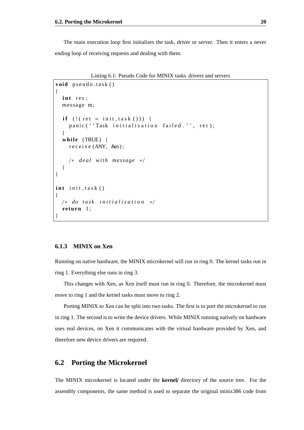The main execution loop first initialises the task, driver or server. Then it enters a never ending loop of receiving requests and dealing with them.

Listing 6.1: Pseudo Code for MINIX tasks drivers and servers

```
void pseudo_task()
{
  int res;
  message m;
  if (! (! (! et = init_task ())) {
     panic ( ''Task initialisation failed.'', ret);
  }
  while (TRUE) {
     r e c e i v e (ANY, &m);
     / ∗ d e a l w i t h message ∗ /
  }
}
int init_task()
{
  / ∗ do t a s k i n i t i a l i s a t i o n ∗ /
  return 1;
}
```
#### <span id="page-27-0"></span>**6.1.3 MINIX on Xen**

Running on native hardware, the MINIX microkernel will run in ring 0. The kernel tasks run in ring 1. Everything else runs in ring 3.

This changes with Xen, as Xen itself must run in ring 0. Therefore, the microkernel must move to ring 1 and the kernel tasks must move to ring 2.

Porting MINIX to Xen can be split into two tasks. The first is to port the microkernel to run in ring 1. The second is to write the device drivers. While MINIX running natively on hardware uses real devices, on Xen it communicates with the virtual hardware provided by Xen, and therefore new device drivers are required.

#### <span id="page-27-1"></span>**6.2 Porting the Microkernel**

The MINIX microkernel is located under the **kernel**/ directory of the source tree. For the assembly components, the same method is used to separate the original minix386 code from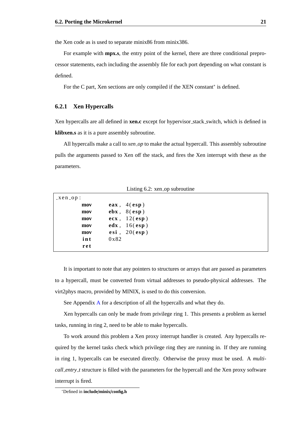the Xen code as is used to separate minix86 from minix386.

For example with **mpx.s**, the entry point of the kernel, there are three conditional preprocessor statements, each including the assembly file for each port depending on what constant is defined.

For the C part, Xen sections are only compiled if the XEN constant<sup>∗</sup> is defined.

#### <span id="page-28-0"></span>**6.2.1 Xen Hypercalls**

Xen hypercalls are all defined in **xen.c** except for hypervisor stack switch, which is defined in **klibxen.s** as it is a pure assembly subroutine.

All hypercalls make a call to *xen op* to make the actual hypercall. This assembly subroutine pulls the arguments passed to Xen off the stack, and fires the Xen interrupt with these as the parameters.

| $-xen_op$ : |                          |
|-------------|--------------------------|
| mov         | eax, $4(\text{esp})$     |
| mov         | $ebx$ , $8(esp)$         |
| mov         | $ecx$ , $12(\text{esp})$ |
| mov         | $edx$ , $16(\text{esp})$ |
| mov         | esi, $20(\text{esp})$    |
| int         | 0x82                     |
| ret         |                          |

Listing 6.2: xen op subroutine

<span id="page-28-1"></span>It is important to note that any pointers to structures or arrays that are passed as parameters to a hypercall, must be converted from virtual addresses to pseudo-physical addresses. The virt2phys macro, provided by MINIX, is used to do this conversion.

See Appendix [A](#page-44-0) for a description of all the hypercalls and what they do.

Xen hypercalls can only be made from privilege ring 1. This presents a problem as kernel tasks, running in ring 2, need to be able to make hypercalls.

To work around this problem a Xen proxy interrupt handler is created. Any hypercalls required by the kernel tasks check which privilege ring they are running in. If they are running in ring 1, hypercalls can be executed directly. Otherwise the proxy must be used. A *multicall entry t* structure is filled with the parameters for the hypercall and the Xen proxy software interrupt is fired.

<sup>∗</sup>Defined in **include**/**minix**/**config.h**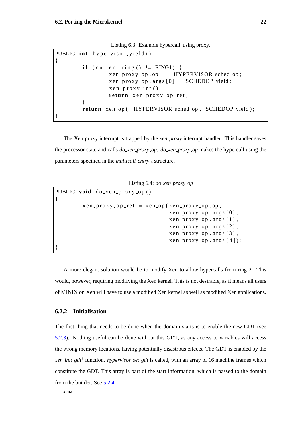Listing 6.3: Example hypercall using proxy.

```
PUBLIC int hypervisor_yield()
{
         \mathbf{if} ( current_ring () != RING1) {
                   x en _proxy_op.op = __HYPERVISOR_sched_op;
                   x en _proxy_op. args[0] = SCHEDOP-yield;
                   x e n _{p} p r o x y _{p} int ();
                   return x en = prox y = op = ret;
          }
         return xen_op(_HYPERVISOR_sched_op, SCHEDOP_yield);
}
```
The Xen proxy interrupt is trapped by the *xen proxy* interrupt handler. This handler saves the processor state and calls *do xen proxy op*. *do xen proxy op* makes the hypercall using the parameters specified in the *multicall entry t* structure.

Listing 6.4: *do xen proxy op*

```
PUBLIC void do_xen_proxy_op()
{
             x e n _p r o x y _o p _r e t = x e n _o p (x e n _p r o x y _o p . o p,
                                                          x e n _{p} p r o x y _{0} o _{p} . a r g s [0],
                                                          x e n _{p} p r o x y _{p} o p . \arg s [1] ,
                                                          x en prox y - op . args [2],
                                                          x e n _{p} p r o x y _{0} o p . a r g s [3],
                                                          x en _{p}roxy_{p}op. arg s(4);
}
```
A more elegant solution would be to modify Xen to allow hypercalls from ring 2. This would, however, requiring modifying the Xen kernel. This is not desirable, as it means all users of MINIX on Xen will have to use a modified Xen kernel as well as modified Xen applications.

#### <span id="page-29-0"></span>**6.2.2 Initialisation**

The first thing that needs to be done when the domain starts is to enable the new GDT (see [5.2.3\)](#page-22-0). Nothing useful can be done without this GDT, as any access to variables will access the wrong memory locations, having potentially disastrous effects. The GDT is enabled by the *xen init gdt*† function. *hypervisor set gdt* is called, with an array of 16 machine frames which constitute the GDT. This array is part of the start information, which is passed to the domain from the builder. See [5.2.4.](#page-23-0)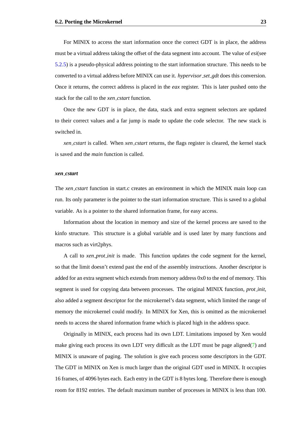For MINIX to access the start information once the correct GDT is in place, the address must be a virtual address taking the offset of the data segment into account. The value of *esi*(see [5.2.5\)](#page-24-0) is a pseudo-physical address pointing to the start information structure. This needs to be converted to a virtual address before MINIX can use it. *hypervisor set gdt* does this conversion. Once it returns, the correct address is placed in the *eax* register. This is later pushed onto the stack for the call to the *xen cstart* function.

Once the new GDT is in place, the data, stack and extra segment selectors are updated to their correct values and a far jump is made to update the code selector. The new stack is switched in.

*xen cstart* is called. When *xen cstart* returns, the flags register is cleared, the kernel stack is saved and the *main* function is called.

#### *xen cstart*

The *xen cstart* function in start.c creates an environment in which the MINIX main loop can run. Its only parameter is the pointer to the start information structure. This is saved to a global variable. As is a pointer to the shared information frame, for easy access.

Information about the location in memory and size of the kernel process are saved to the kinfo structure. This structure is a global variable and is used later by many functions and macros such as virt2phys.

A call to *xen prot init* is made. This function updates the code segment for the kernel, so that the limit doesn't extend past the end of the assembly instructions. Another descriptor is added for an extra segment which extends from memory address 0x0 to the end of memory. This segment is used for copying data between processes. The original MINIX function, *prot init*, also added a segment descriptor for the microkernel's data segment, which limited the range of memory the microkernel could modify. In MINIX for Xen, this is omitted as the microkernel needs to access the shared information frame which is placed high in the address space.

Originally in MINIX, each process had its own LDT. Limitations imposed by Xen would make giving each process its own LDT very difficult as the LDT must be page aligned[\(7\)](#page-50-6) and MINIX is unaware of paging. The solution is give each process some descriptors in the GDT. The GDT in MINIX on Xen is much larger than the original GDT used in MINIX. It occupies 16 frames, of 4096 bytes each. Each entry in the GDT is 8 bytes long. Therefore there is enough room for 8192 entries. The default maximum number of processes in MINIX is less than 100.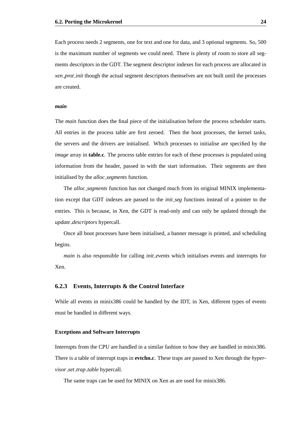Each process needs 2 segments, one for text and one for data, and 3 optional segments. So, 500 is the maximum number of segments we could need. There is plenty of room to store all segments descriptors in the GDT. The segment descriptor indexes for each process are allocated in *xen prot init* though the actual segment descriptors themselves are not built until the processes are created.

#### <span id="page-31-2"></span>*main*

The *main* function does the final piece of the initialisation before the process scheduler starts. All entries in the process table are first zeroed. Then the boot processes, the kernel tasks, the servers and the drivers are initialised. Which processes to initialise are specified by the *image* array in **table.c**. The process table entries for each of these processes is populated using information from the header, passed in with the start information. Their segments are then initialised by the *alloc segments* function.

The *alloc segments* function has not changed much from its original MINIX implementation except that GDT indexes are passed to the *init seg* functions instead of a pointer to the entries. This is because, in Xen, the GDT is read-only and can only be updated through the *update descriptors* hypercall.

Once all boot processes have been initialised, a banner message is printed, and scheduling begins.

*main* is also responsible for calling *init events* which initialises events and interrupts for Xen.

#### <span id="page-31-0"></span>**6.2.3 Events, Interrupts & the Control Interface**

While all events in minix386 could be handled by the IDT, in Xen, different types of events must be handled in different ways.

#### **Exceptions and Software Interrupts**

<span id="page-31-1"></span>Interrupts from the CPU are handled in a similar fashion to how they are handled in minix386. There is a table of interrupt traps in **evtchn.c**. These traps are passed to Xen through the *hypervisor set trap table* hypercall.

The same traps can be used for MINIX on Xen as are used for minix386.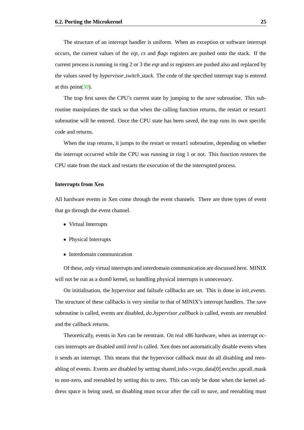The structure of an interrupt handler is uniform. When an exception or software interrupt occurs, the current values of the *eip*, *cs* and *flags* registers are pushed onto the stack. If the current process is running in ring 2 or 3 the *esp* and *ss* registers are pushed also and replaced by the values saved by *hypervisor switch stack*. The code of the specified interrupt trap is entered at this point  $(30)$ .

The trap first saves the CPU's current state by jumping to the *save* subroutine. This subroutine manipulates the stack so that when the calling function returns, the restart or restart1 subroutine will be entered. Once the CPU state has been saved, the trap runs its own specific code and returns.

When the trap returns, it jumps to the restart or restart a subroutine, depending on whether the interrupt occurred while the CPU was running in ring 1 or not. This function restores the CPU state from the stack and restarts the execution of the the interrupted process.

#### **Interrupts from Xen**

<span id="page-32-0"></span>All hardware events in Xen come through the event channels. There are three types of event that go through the event channel.

- Virtual Interrupts
- Physical Interrupts
- Interdomain communication

Of these, only virtual interrupts and interdomain communication are discussed here. MINIX will not be run as a dom0 kernel, so handling physical interrupts is unnecessary.

On initialisation, the hypervisor and failsafe callbacks are set. This is done in *init events*. The structure of these callbacks is very similar to that of MINIX's interrupt handlers. The save subroutine is called, events are disabled, *do hypervisor callback* is called, events are reenabled and the callback returns.

Theoretically, events in Xen can be reentrant. On real x86 hardware, when an interrupt occurs interrupts are disabled until *iretd* is called. Xen does not automatically disable events when it sends an interrupt. This means that the hypervisor callback must do all disabling and reenabling of events. Events are disabled by setting shared info->vcpu data[0].evtchn upcall mask to non-zero, and reenabled by setting this to zero. This can only be done when the kernel address space is being used, so disabling must occur after the call to *save*, and reenabling must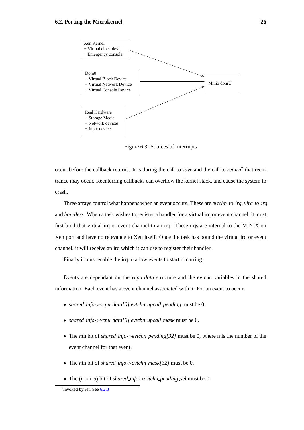![](_page_33_Figure_1.jpeg)

<span id="page-33-0"></span>Figure 6.3: Sources of interrupts

occur before the callback returns. It is during the call to *save* and the call to *return*‡ that reentrance may occur. Reenterring callbacks can overflow the kernel stack, and cause the system to crash.

Three arrays control what happens when an event occurs. These are *evtchn to irq*, *virq to irq* and *handlers*. When a task wishes to register a handler for a virtual irq or event channel, it must first bind that virtual irq or event channel to an irq. These irqs are internal to the MINIX on Xen port and have no relevance to Xen itself. Once the task has bound the virtual irq or event channel, it will receive an irq which it can use to register their handler.

Finally it must enable the irq to allow events to start occurring.

Events are dependant on the *vcpu data* structure and the evtchn variables in the shared information. Each event has a event channel associated with it. For an event to occur.

- *shared info-*>*vcpu data[0].evtchn upcall pending* must be 0.
- *shared info-*>*vcpu data[0].evtchn upcall mask* must be 0.
- The *<sup>n</sup>*th bit of *shared info-*>*evtchn pending[32]* must be 0, where n is the number of the event channel for that event.
- The *<sup>n</sup>*th bit of *shared info-*>*evtchn mask[32]* must be 0.
- The (*<sup>n</sup>* >> 5) bit of *shared info-*>*evtchn pending sel* must be 0.

<sup>‡</sup> Invoked by ret. See [6.2.3](#page-31-1)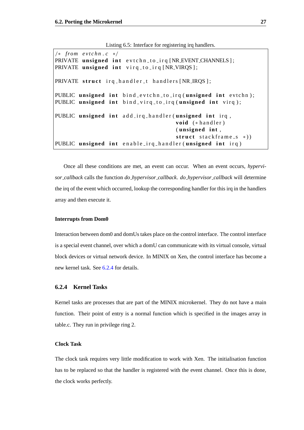$/* from *evtchn.c* */$ PRIVATE unsigned int evtchn\_to\_irq [NR\_EVENT\_CHANNELS]; PRIVATE unsigned int virq\_to\_irq [NR\_VIRQS]; PRIVATE struct irg\_handler\_t handlers [NR\_IRQS]; PUBLIC unsigned int bind\_evtchn\_to\_irq(unsigned int evtchn); PUBLIC unsigned int bind\_virq\_to\_irq(unsigned int virq); PUBLIC unsigned int add\_irq\_handler(unsigned int irq, void  $(* \text{ handler})$ (unsigned int, struct stackframe\_s \*)) PUBLIC unsigned int enable\_irq\_handler(unsigned int irq)

Listing 6.5: Interface for registering irq handlers.

Once all these conditions are met, an event can occur. When an event occurs, *hypervisor callback* calls the function *do hypervisor callback*. *do hypervisor callback* will determine the irq of the event which occurred, lookup the corresponding handler for this irq in the handlers array and then execute it.

#### **Interrupts from Dom0**

Interaction between dom0 and domUs takes place on the control interface. The control interface is a special event channel, over which a domU can communicate with its virtual console, virtual block devices or virtual network device. In MINIX on Xen, the control interface has become a new kernel task. See [6.2.4](#page-35-0) for details.

#### <span id="page-34-0"></span>**6.2.4 Kernel Tasks**

Kernel tasks are processes that are part of the MINIX microkernel. They do not have a main function. Their point of entry is a normal function which is specified in the images array in table.c. They run in privilege ring 2.

#### **Clock Task**

The clock task requires very little modification to work with Xen. The initialisation function has to be replaced so that the handler is registered with the event channel. Once this is done, the clock works perfectly.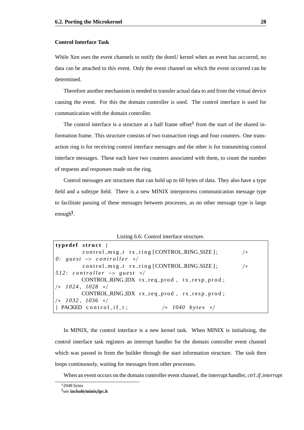#### **Control Interface Task**

<span id="page-35-0"></span>While Xen uses the event channels to notify the domU kernel when an event has occurred, no data can be attached to this event. Only the event channel on which the event occurred can be determined.

Therefore another mechanism is needed to transfer actual data to and from the virtual device causing the event. For this the domain controller is used. The control interface is used for communication with the domain controller.

The control interface is a structure at a half frame offset<sup>§</sup> from the start of the shared information frame. This structure consists of two transaction rings and four counters. One transaction ring is for receiving control interface messages and the other is for transmitting control interface messages. These each have two counters associated with them, to count the number of requests and responses made on the ring.

Control messages are structures that can hold up to 60 bytes of data. They also have a type field and a subtype field. There is a new MINIX interprocess communication message type to facilitate passing of these messages between processes, as no other message type is large enough¶ .

Listing 6.6: Control interface structure.

| typedef struct {                              |      |
|-----------------------------------------------|------|
| control_msg_t tx_ring [CONTROL_RING_SIZE];    | /*   |
| 0: guest $\rightarrow$ controller $*/$        |      |
| control_msg_t rx_ring [CONTROL_RING_SIZE];    | $/*$ |
| $512:$ controller $\rightarrow$ guest $\ast/$ |      |
| CONTROL_RING_IDX tx_req_prod, tx_resp_prod;   |      |
| $\frac{\times 1024}{1028}$ */                 |      |
| CONTROL_RING_IDX rx_req_prod, rx_resp_prod;   |      |
| $/* 1032, 1036 */$                            |      |
| PACKED control_if_t;<br>$/*$ 1040 bytes */    |      |

In MINIX, the control interface is a new kernel task. When MINIX is initialising, the control interface task registers an interrupt handler for the domain controller event channel which was passed in from the builder through the start information structure. The task then loops continuously, waiting for messages from other processes.

When an event occurs on the domain controller event channel, the interrupt handler, *ctrl if interrupt*

<sup>§</sup>2048 bytes ¶ see **include**/**minix**/**ipc.h**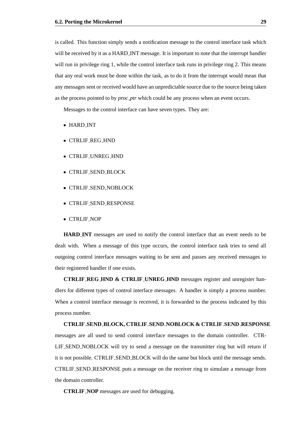is called. This function simply sends a notification message to the control interface task which will be received by it as a HARD INT message. It is important to note that the interrupt handler will run in privilege ring 1, while the control interface task runs in privilege ring 2. This means that any real work must be done within the task, as to do it from the interrupt would mean that any messages sent or received would have an unpredictable source due to the source being taken as the process pointed to by *proc ptr* which could be any process when an event occurs.

Messages to the control interface can have seven types. They are:

- HARD INT
- CTRLIF REG HND
- CTRLIF UNREG HND
- CTRLIF SEND BLOCK
- CTRLIF SEND NOBLOCK
- CTRLIF SEND RESPONSE
- CTRLIF NOP

**HARD INT** messages are used to notify the control interface that an event needs to be dealt with. When a message of this type occurs, the control interface task tries to send all outgoing control interface messages waiting to be sent and passes any received messages to their registered handler if one exists.

**CTRLIF REG HND & CTRLIF UNREG HND** messages register and unregister handlers for different types of control interface messages. A handler is simply a process number. When a control interface message is received, it is forwarded to the process indicated by this process number.

#### **CTRLIF SEND BLOCK, CTRLIF SEND NOBLOCK & CTRLIF SEND RESPONSE**

messages are all used to send control interface messages to the domain controller. CTR-LIF SEND NOBLOCK will try to send a message on the transmitter ring but will return if it is not possible. CTRLIF SEND BLOCK will do the same but block until the message sends. CTRLIF SEND RESPONSE puts a message on the receiver ring to simulate a message from the domain controller.

**CTRLIF NOP** messages are used for debugging.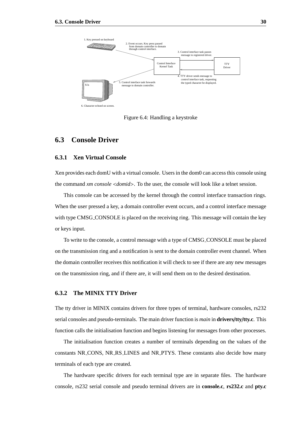![](_page_37_Figure_1.jpeg)

<span id="page-37-3"></span>Figure 6.4: Handling a keystroke

### <span id="page-37-0"></span>**6.3 Console Driver**

#### <span id="page-37-1"></span>**6.3.1 Xen Virtual Console**

Xen provides each domU with a virtual console. Users in the dom0 can access this console using the command *xm console* <*domid*>. To the user, the console will look like a telnet session.

This console can be accessed by the kernel through the control interface transaction rings. When the user pressed a key, a domain controller event occurs, and a control interface message with type CMSG\_CONSOLE is placed on the receiving ring. This message will contain the key or keys input.

To write to the console, a control message with a type of CMSG CONSOLE must be placed on the transmission ring and a notification is sent to the domain controller event channel. When the domain controller receives this notification it will check to see if there are any new messages on the transmission ring, and if there are, it will send them on to the desired destination.

#### <span id="page-37-2"></span>**6.3.2 The MINIX TTY Driver**

The tty driver in MINIX contains drivers for three types of terminal, hardware consoles, rs232 serial consoles and pseudo-terminals. The main driver function is *main* in **drivers**/**tty**/**tty.c**. This function calls the initialisation function and begins listening for messages from other processes.

The initialisation function creates a number of terminals depending on the values of the constants NR CONS, NR RS LINES and NR PTYS. These constants also decide how many terminals of each type are created.

The hardware specific drivers for each terminal type are in separate files. The hardware console, rs232 serial console and pseudo terminal drivers are in **console.c**, **rs232.c** and **pty.c**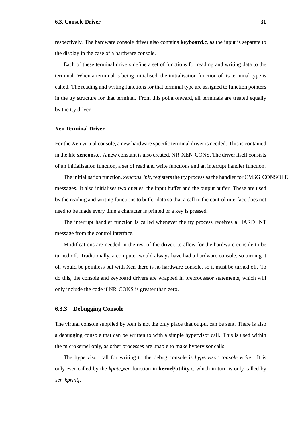respectively. The hardware console driver also contains **keyboard.c**, as the input is separate to the display in the case of a hardware console.

Each of these terminal drivers define a set of functions for reading and writing data to the terminal. When a terminal is being initialised, the initialisation function of its terminal type is called. The reading and writing functions for that terminal type are assigned to function pointers in the tty structure for that terminal. From this point onward, all terminals are treated equally by the tty driver.

#### **Xen Terminal Driver**

For the Xen virtual console, a new hardware specific terminal driver is needed. This is contained in the file **xencons.c**. A new constant is also created, NR XEN CONS. The driver itself consists of an initialisation function, a set of read and write functions and an interrupt handler function.

The initialisation function, *xencons init*, registers the tty process as the handler for CMSG CONSOLE messages. It also initialises two queues, the input buffer and the output buffer. These are used by the reading and writing functions to buffer data so that a call to the control interface does not need to be made every time a character is printed or a key is pressed.

The interrupt handler function is called whenever the tty process receives a HARD INT message from the control interface.

Modifications are needed in the rest of the driver, to allow for the hardware console to be turned off. Traditionally, a computer would always have had a hardware console, so turning it off would be pointless but with Xen there is no hardware console, so it must be turned off. To do this, the console and keyboard drivers are wrapped in preprocessor statements, which will only include the code if NR CONS is greater than zero.

#### <span id="page-38-0"></span>**6.3.3 Debugging Console**

The virtual console supplied by Xen is not the only place that output can be sent. There is also a debugging console that can be written to with a simple hypervisor call. This is used within the microkernel only, as other processes are unable to make hypervisor calls.

The hypervisor call for writing to the debug console is *hypervisor console write*. It is only ever called by the *kputc xen* function in **kernel**/**utility.c**, which in turn is only called by *xen kprintf*.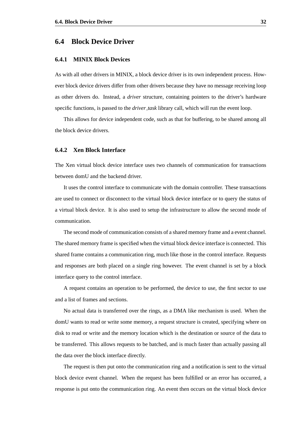#### <span id="page-39-0"></span>**6.4 Block Device Driver**

#### <span id="page-39-1"></span>**6.4.1 MINIX Block Devices**

As with all other drivers in MINIX, a block device driver is its own independent process. However block device drivers differ from other drivers because they have no message receiving loop as other drivers do. Instead, a *driver* structure, containing pointers to the driver's hardware specific functions, is passed to the *driver task* library call, which will run the event loop.

This allows for device independent code, such as that for buffering, to be shared among all the block device drivers.

#### <span id="page-39-2"></span>**6.4.2 Xen Block Interface**

The Xen virtual block device interface uses two channels of communication for transactions between domU and the backend driver.

It uses the control interface to communicate with the domain controller. These transactions are used to connect or disconnect to the virtual block device interface or to query the status of a virtual block device. It is also used to setup the infrastructure to allow the second mode of communication.

The second mode of communication consists of a shared memory frame and a event channel. The shared memory frame is specified when the virtual block device interface is connected. This shared frame contains a communication ring, much like those in the control interface. Requests and responses are both placed on a single ring however. The event channel is set by a block interface query to the control interface.

A request contains an operation to be performed, the device to use, the first sector to use and a list of frames and sections.

No actual data is transferred over the rings, as a DMA like mechanism is used. When the domU wants to read or write some memory, a request structure is created, specifying where on disk to read or write and the memory location which is the destination or source of the data to be transferred. This allows requests to be batched, and is much faster than actually passing all the data over the block interface directly.

The request is then put onto the communication ring and a notification is sent to the virtual block device event channel. When the request has been fulfilled or an error has occurred, a response is put onto the communication ring. An event then occurs on the virtual block device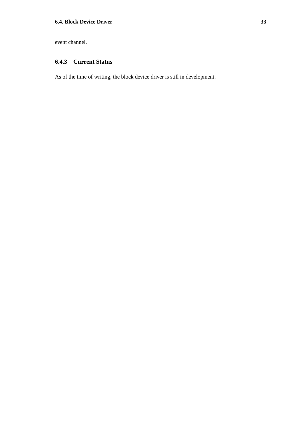event channel.

### <span id="page-40-0"></span>**6.4.3 Current Status**

As of the time of writing, the block device driver is still in development.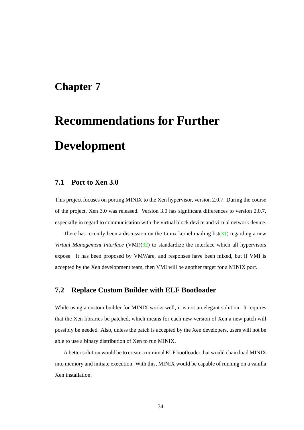### <span id="page-41-0"></span>**Chapter 7**

# **Recommendations for Further Development**

### <span id="page-41-1"></span>**7.1 Port to Xen 3.0**

This project focuses on porting MINIX to the Xen hypervisor, version 2.0.7. During the course of the project, Xen 3.0 was released. Version 3.0 has significant differences to version 2.0.7, especially in regard to communication with the virtual block device and virtual network device.

There has recently been a discussion on the Linux kernel mailing  $list(31)$  $list(31)$  regarding a new *Virtual Management Interface* (VMI)[\(32\)](#page-52-2) to standardize the interface which all hypervisors expose. It has been proposed by VMWare, and responses have been mixed, but if VMI is accepted by the Xen development team, then VMI will be another target for a MINIX port.

### <span id="page-41-2"></span>**7.2 Replace Custom Builder with ELF Bootloader**

While using a custom builder for MINIX works well, it is not an elegant solution. It requires that the Xen libraries be patched, which means for each new version of Xen a new patch will possibly be needed. Also, unless the patch is accepted by the Xen developers, users will not be able to use a binary distribution of Xen to run MINIX.

A better solution would be to create a minimal ELF bootloader that would chain load MINIX into memory and initiate execution. With this, MINIX would be capable of running on a vanilla Xen installation.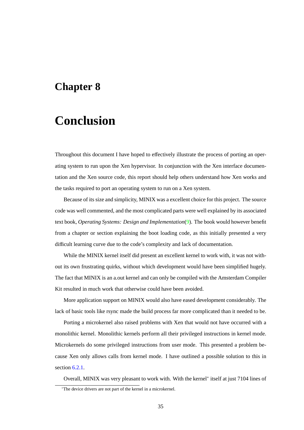### <span id="page-42-0"></span>**Chapter 8**

# **Conclusion**

Throughout this document I have hoped to effectively illustrate the process of porting an operating system to run upon the Xen hypervisor. In conjunction with the Xen interface documentation and the Xen source code, this report should help others understand how Xen works and the tasks required to port an operating system to run on a Xen system.

Because of its size and simplicity, MINIX was a excellent choice for this project. The source code was well commented, and the most complicated parts were well explained by its associated text book, *Operating Systems: Design and Implementation*[\(9\)](#page-50-9). The book would however benefit from a chapter or section explaining the boot loading code, as this initially presented a very difficult learning curve due to the code's complexity and lack of documentation.

While the MINIX kernel itself did present an excellent kernel to work with, it was not without its own frustrating quirks, without which development would have been simplified hugely. The fact that MINIX is an a.out kernel and can only be compiled with the Amsterdam Compiler Kit resulted in much work that otherwise could have been avoided.

More application support on MINIX would also have eased development considerably. The lack of basic tools like rsync made the build process far more complicated than it needed to be.

Porting a microkernel also raised problems with Xen that would not have occurred with a monolithic kernel. Monolithic kernels perform all their privileged instructions in kernel mode. Microkernels do some privileged instructions from user mode. This presented a problem because Xen only allows calls from kernel mode. I have outlined a possible solution to this in section  $6.2.1$ .

Overall, MINIX was very pleasant to work with. With the kernel<sup>∗</sup> itself at just 7104 lines of

<sup>∗</sup>The device drivers are not part of the kernel in a microkernel.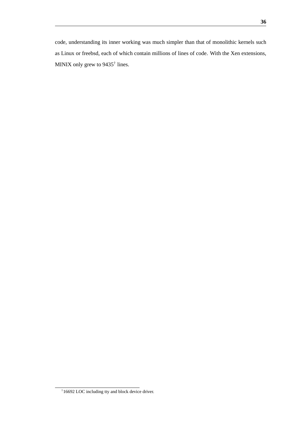code, understanding its inner working was much simpler than that of monolithic kernels such as Linux or freebsd, each of which contain millions of lines of code. With the Xen extensions, MINIX only grew to 9435<sup>†</sup> lines.

<sup>†</sup>16692 LOC including tty and block device driver.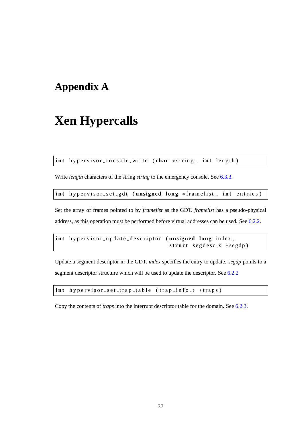# <span id="page-44-0"></span>**Appendix A**

# **Xen Hypercalls**

**int** hypervisor\_console\_write (char \*string, int length)

Write *length* characters of the string *string* to the emergency console. See [6.3.3.](#page-38-0)

int hypervisor\_set\_gdt (unsigned long \*framelist, int entries)

Set the array of frames pointed to by *framelist* as the GDT. *framelist* has a pseudo-physical address, as this operation must be performed before virtual addresses can be used. See [6.2.2.](#page-29-0)

int hypervisor\_update\_descriptor (unsigned long index, struct segdesc\_s \*segdp)

Update a segment descriptor in the GDT. *index* specifies the entry to update. *segdp* points to a segment descriptor structure which will be used to update the descriptor. See [6.2.2](#page-31-2)

int hypervisor\_set\_trap\_table (trap\_info\_t \*traps)

Copy the contents of *traps* into the interrupt descriptor table for the domain. See [6.2.3.](#page-31-1)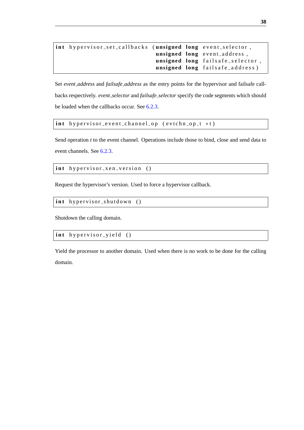```
int hypervisor_set_callbacks (unsigned long event_selector,
                               unsigned long event_address,
                               unsigned long fails afe_selector,
                               unsigned long failsafe_address)
```
Set *event address* and *failsafe address* as the entry points for the hypervisor and failsafe callbacks respectively. *event selector* and *failsafe selector* specify the code segments which should be loaded when the callbacks occur. See [6.2.3.](#page-33-0)

int hypervisor\_event\_channel\_op (evtchn\_op\_t \*t)

Send operation *t* to the event channel. Operations include those to bind, close and send data to event channels. See [6.2.3.](#page-32-0)

int hypervisor\_xen\_version ()

Request the hypervisor's version. Used to force a hypervisor callback.

int hypervisor\_shutdown ()

Shutdown the calling domain.

int hypervisor\_yield ()

Yield the processor to another domain. Used when there is no work to be done for the calling domain.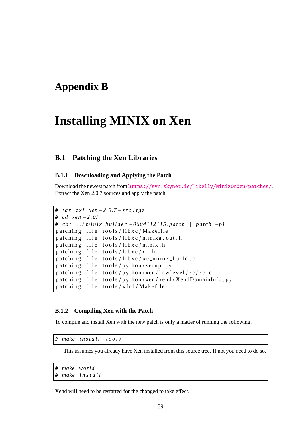## <span id="page-46-0"></span>**Appendix B**

# **Installing MINIX on Xen**

### <span id="page-46-1"></span>**B.1 Patching the Xen Libraries**

#### <span id="page-46-2"></span>**B.1.1 Downloading and Applying the Patch**

Download the newest patch from [https://svn.skynet.ie/˜ikelly/MinixOnXen/patches/](https://svn.skynet.ie/~ikelly/MinixOnXen/patches/). Extract the Xen 2.0.7 sources and apply the patch.

```
# tar zxf xen −2.0.7 − src.tgz
# cd xen −2 . 0 /
# c a t . . / m i n i x b u i l d e r −0604112115. p a t c h | p a t c h −p1
patching file tools/libxc/Makefile
patching file tools/libxc/minixa.out.h
patching file tools/libxc/minix.h
patching file tools/libxc/xc.h
patching file tools/libxc/xc_minix_build.c
patching file tools/python/setup.py
patching file tools/python/xen/lowlevel/xc/xc.c
patching file tools/python/xen/xend/XendDomainInfo.py
patching file tools/xfrd/Makefile
```
#### <span id="page-46-3"></span>**B.1.2 Compiling Xen with the Patch**

To compile and install Xen with the new patch is only a matter of running the following.

*# make i n s t a l l* −*t o o l s*

This assumes you already have Xen installed from this source tree. If not you need to do so.

```
# make world
# make i n s t a l l
```
Xend will need to be restarted for the changed to take effect.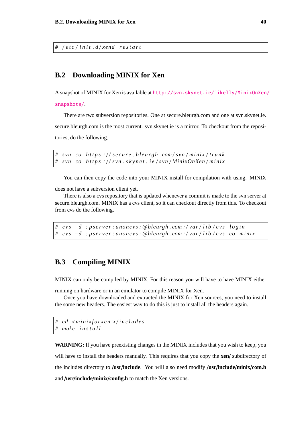*#* / *e t c* / *i n i t . d* / *xend r e s t a r t*

### <span id="page-47-0"></span>**B.2 Downloading MINIX for Xen**

A snapshot of MINIX for Xen is available at [http://svn.skynet.ie/˜ikelly/MinixOnXen/](http://svn.skynet.ie/~ikelly/MinixOnXen/snapshots/) [snapshots/](http://svn.skynet.ie/~ikelly/MinixOnXen/snapshots/).

There are two subversion repositories. One at secure.bleurgh.com and one at svn.skynet.ie.

secure.bleurgh.com is the most current. svn.skynet.ie is a mirror. To checkout from the repositories, do the following.

*# svn co h t t p s :* / / *s e c u r e . b l e u r g h . com* / *svn* / *m i n i x* / *t r u n k # svn co h t t p s :* / / *svn . s k y n e t . i e* / *svn* / *MinixOnXen* / *m i n i x*

You can then copy the code into your MINIX install for compilation with using. MINIX

does not have a subversion client yet.

There is also a cvs repository that is updated whenever a commit is made to the svn server at secure.bleurgh.com. MINIX has a cvs client, so it can checkout directly from this. To checkout from cvs do the following.

```
# c v s −d : p s e r v e r : anoncvs : @bleurgh . com : / var / l i b / c v s l o g i n
# c v s −d : p s e r v e r : anoncvs : @bleurgh . com : / var / l i b / c v s co m i n i x
```
### <span id="page-47-1"></span>**B.3 Compiling MINIX**

MINIX can only be compiled by MINIX. For this reason you will have to have MINIX either

running on hardware or in an emulator to compile MINIX for Xen.

Once you have downloaded and extracted the MINIX for Xen sources, you need to install the some new headers. The easiest way to do this is just to install all the headers again.

```
# cd <m i n i x f o r x e n >/ i n c l u d e s
# make i n s t a l l
```
**WARNING:** If you have preexisting changes in the MINIX includes that you wish to keep, you will have to install the headers manually. This requires that you copy the **xen**/ subdirectory of the includes directory to /**usr**/**include**. You will also need modify /**usr**/**include**/**minix**/**com.h** and /**usr**/**include**/**minix**/**config.h** to match the Xen versions.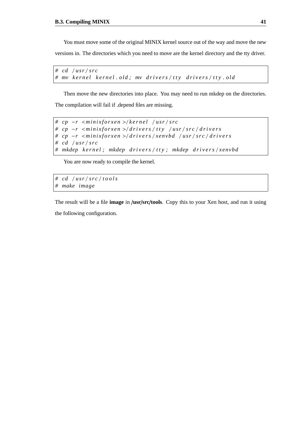You must move some of the original MINIX kernel source out of the way and move the new

versions in. The directories which you need to move are the kernel directory and the tty driver.

```
# cd / u s r / s r c
# mv k e r n e l k e r n e l . o l d ; mv d r i v e r s / t t y d r i v e r s / t t y . o l d
```
Then move the new directories into place. You may need to run mkdep on the directories. The compilation will fail if .depend files are missing.

```
# cp −r <m i n i x f o r x e n >/ k e r n e l / u s r / s r c
# cp −r <m i n i x f o r x e n >/ d r i v e r s / t t y / u s r / s r c / d r i v e r s
# cp −r <m i n i x f o r x e n >/ d r i v e r s / xenvbd / u s r / s r c / d r i v e r s
# cd / u s r / s r c
# mkdep k e r n e l ; mkdep d r i v e r s / t t y ; mkdep d r i v e r s / xenvbd
```
You are now ready to compile the kernel.

*# cd* / *u s r* / *s r c* / *t o o l s # make image*

The result will be a file **image** in /**usr**/**src**/**tools**. Copy this to your Xen host, and run it using the following configuration.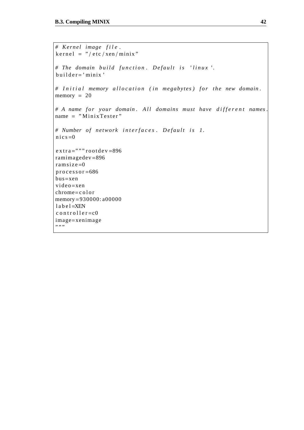```
# Kernel image file.
\text{ker} \, \text{rel} = " / \, \text{etc} / \, \text{sen} / \, \text{minix}"
# The domain build function. Default is 'linux'.
builder='minix'# Initial memory allocation (in megabytes) for the new domain.
memory = 20# A name for your domain. All domains must have different names.
name = "MinixTester"# Number of network interfaces. Default is 1.
n i c s = 0
extra=" \cdots" root de v = 896
ramimagedev=896
r a m s i z e=0
processor = 686bus=xen
video = xenchrome=c ol or
memory=930000: a00000
l a b e l = XENc o n t r o l l e r =c0
image=xenimage
,,,,,
```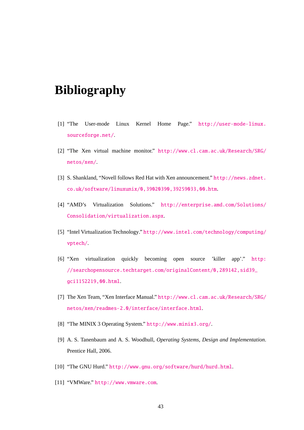# **Bibliography**

- <span id="page-50-0"></span>[1] "The User-mode Linux Kernel Home Page." [http://user-mode-linux.](http://user-mode-linux.sourceforge.net/) [sourceforge.net/](http://user-mode-linux.sourceforge.net/).
- <span id="page-50-1"></span>[2] "The Xen virtual machine monitor." [http://www.cl.cam.ac.uk/Research/SRG/](http://www.cl.cam.ac.uk/Research/SRG/netos/xen/) [netos/xen/](http://www.cl.cam.ac.uk/Research/SRG/netos/xen/).
- <span id="page-50-2"></span>[3] S. Shankland, "Novell follows Red Hat with Xen announcement." [http://news.zdnet.](http://news.zdnet.co.uk/software/linuxunix/0,39020390,39259033,00.htm) [co.uk/software/linuxunix/0,39020390,39259033,00.htm](http://news.zdnet.co.uk/software/linuxunix/0,39020390,39259033,00.htm).
- <span id="page-50-3"></span>[4] "AMD's Virtualization Solutions." [http://enterprise.amd.com/Solutions/](http://enterprise.amd.com/Solutions/Consolidation/virtualization.aspx) [Consolidation/virtualization.aspx](http://enterprise.amd.com/Solutions/Consolidation/virtualization.aspx).
- <span id="page-50-4"></span>[5] "Intel Virtualization Technology." [http://www.intel.com/technology/computing/](http://www.intel.com/technology/computing/vptech/) [vptech/](http://www.intel.com/technology/computing/vptech/).
- <span id="page-50-5"></span>[6] "Xen virtualization quickly becoming open source 'killer app'." [http:](http://searchopensource.techtarget.com/originalContent/0,289142,sid39_gci1152219,00.html) [//searchopensource.techtarget.com/originalContent/0,289142,sid39\\_](http://searchopensource.techtarget.com/originalContent/0,289142,sid39_gci1152219,00.html) [gci1152219,00.html](http://searchopensource.techtarget.com/originalContent/0,289142,sid39_gci1152219,00.html).
- <span id="page-50-6"></span>[7] The Xen Team, "Xen Interface Manual." [http://www.cl.cam.ac.uk/Research/SRG/](http://www.cl.cam.ac.uk/Research/SRG/netos/xen/readmes-2.0/interface/interface.html) [netos/xen/readmes-2.0/interface/interface.html](http://www.cl.cam.ac.uk/Research/SRG/netos/xen/readmes-2.0/interface/interface.html).
- <span id="page-50-8"></span>[8] "The MINIX 3 Operating System." <http://www.minix3.org/>.
- <span id="page-50-9"></span>[9] A. S. Tanenbaum and A. S. Woodhull, *Operating Systems, Design and Implementation*. Prentice Hall, 2006.
- <span id="page-50-10"></span>[10] "The GNU Hurd." <http://www.gnu.org/software/hurd/hurd.html>.
- <span id="page-50-7"></span>[11] "VMWare." <http://www.vmware.com>.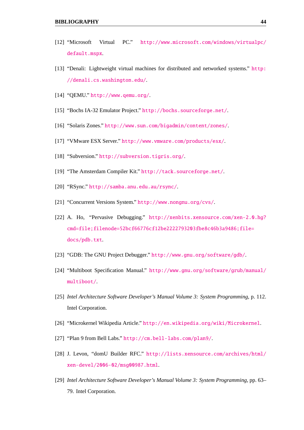- <span id="page-51-0"></span>[12] "Microsoft Virtual PC." [http://www.microsoft.com/windows/virtualpc/](http://www.microsoft.com/windows/virtualpc/default.mspx) [default.mspx](http://www.microsoft.com/windows/virtualpc/default.mspx).
- <span id="page-51-1"></span>[13] "Denali: Lightweight virtual machines for distributed and networked systems." [http:](http://denali.cs.washington.edu/) [//denali.cs.washington.edu/](http://denali.cs.washington.edu/).
- <span id="page-51-2"></span>[14] "QEMU." <http://www.qemu.org/>.
- <span id="page-51-3"></span>[15] "Bochs IA-32 Emulator Project." <http://bochs.sourceforge.net/>.
- <span id="page-51-4"></span>[16] "Solaris Zones." <http://www.sun.com/bigadmin/content/zones/>.
- <span id="page-51-5"></span>[17] "VMware ESX Server." <http://www.vmware.com/products/esx/>.
- <span id="page-51-6"></span>[18] "Subversion." <http://subversion.tigris.org/>.
- <span id="page-51-7"></span>[19] "The Amsterdam Compiler Kit." <http://tack.sourceforge.net/>.
- <span id="page-51-8"></span>[20] "RSync." <http://samba.anu.edu.au/rsync/>.
- <span id="page-51-9"></span>[21] "Concurrent Versions System." <http://www.nongnu.org/cvs/>.
- <span id="page-51-10"></span>[22] A. Ho, "Pervasive Debugging." [http://xenbits.xensource.com/xen-2.0.hg?](http://xenbits.xensource.com/xen-2.0.hg?cmd=file;filenode=52bcf66776cf12be2222793203fbe8c46b3a9486;file=docs/pdb.txt) [cmd=file;filenode=52bcf66776cf12be2222793203fbe8c46b3a9486;file=](http://xenbits.xensource.com/xen-2.0.hg?cmd=file;filenode=52bcf66776cf12be2222793203fbe8c46b3a9486;file=docs/pdb.txt) [docs/pdb.txt](http://xenbits.xensource.com/xen-2.0.hg?cmd=file;filenode=52bcf66776cf12be2222793203fbe8c46b3a9486;file=docs/pdb.txt).
- <span id="page-51-11"></span>[23] "GDB: The GNU Project Debugger." <http://www.gnu.org/software/gdb/>.
- <span id="page-51-12"></span>[24] "Multiboot Specification Manual." [http://www.gnu.org/software/grub/manual/](http://www.gnu.org/software/grub/manual/multiboot/) [multiboot/](http://www.gnu.org/software/grub/manual/multiboot/).
- <span id="page-51-13"></span>[25] *Intel Architecture Software Developer's Manual Volume 3: System Programming*, p. 112. Intel Corporation.
- <span id="page-51-14"></span>[26] "Microkernel Wikipedia Article." <http://en.wikipedia.org/wiki/Microkernel>.
- <span id="page-51-15"></span>[27] "Plan 9 from Bell Labs." <http://cm.bell-labs.com/plan9/>.
- <span id="page-51-16"></span>[28] J. Levon, "domU Builder RFC." [http://lists.xensource.com/archives/html/](http://lists.xensource.com/archives/html/xen-devel/2006-02/msg00987.html) [xen-devel/2006-02/msg00987.html](http://lists.xensource.com/archives/html/xen-devel/2006-02/msg00987.html).
- <span id="page-51-17"></span>[29] *Intel Architecture Software Developer's Manual Volume 3: System Programming*, pp. 63– 79. Intel Corporation.